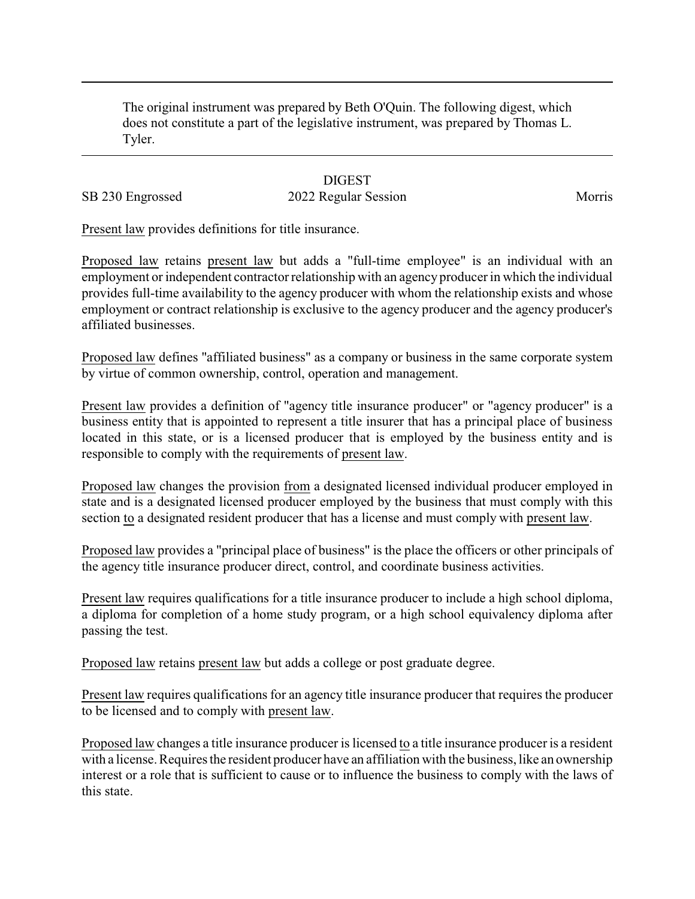The original instrument was prepared by Beth O'Quin. The following digest, which does not constitute a part of the legislative instrument, was prepared by Thomas L. Tyler.

## **DIGEST**

## SB 230 Engrossed 2022 Regular Session Morris

Present law provides definitions for title insurance.

Proposed law retains present law but adds a "full-time employee" is an individual with an employment or independent contractor relationship with an agency producer in which the individual provides full-time availability to the agency producer with whom the relationship exists and whose employment or contract relationship is exclusive to the agency producer and the agency producer's affiliated businesses.

Proposed law defines "affiliated business" as a company or business in the same corporate system by virtue of common ownership, control, operation and management.

Present law provides a definition of "agency title insurance producer" or "agency producer" is a business entity that is appointed to represent a title insurer that has a principal place of business located in this state, or is a licensed producer that is employed by the business entity and is responsible to comply with the requirements of present law.

Proposed law changes the provision from a designated licensed individual producer employed in state and is a designated licensed producer employed by the business that must comply with this section to a designated resident producer that has a license and must comply with present law.

Proposed law provides a "principal place of business" is the place the officers or other principals of the agency title insurance producer direct, control, and coordinate business activities.

Present law requires qualifications for a title insurance producer to include a high school diploma, a diploma for completion of a home study program, or a high school equivalency diploma after passing the test.

Proposed law retains present law but adds a college or post graduate degree.

Present law requires qualifications for an agency title insurance producer that requires the producer to be licensed and to comply with present law.

Proposed law changes a title insurance producer is licensed to a title insurance producer is a resident with a license. Requires the resident producer have an affiliation with the business, like an ownership interest or a role that is sufficient to cause or to influence the business to comply with the laws of this state.